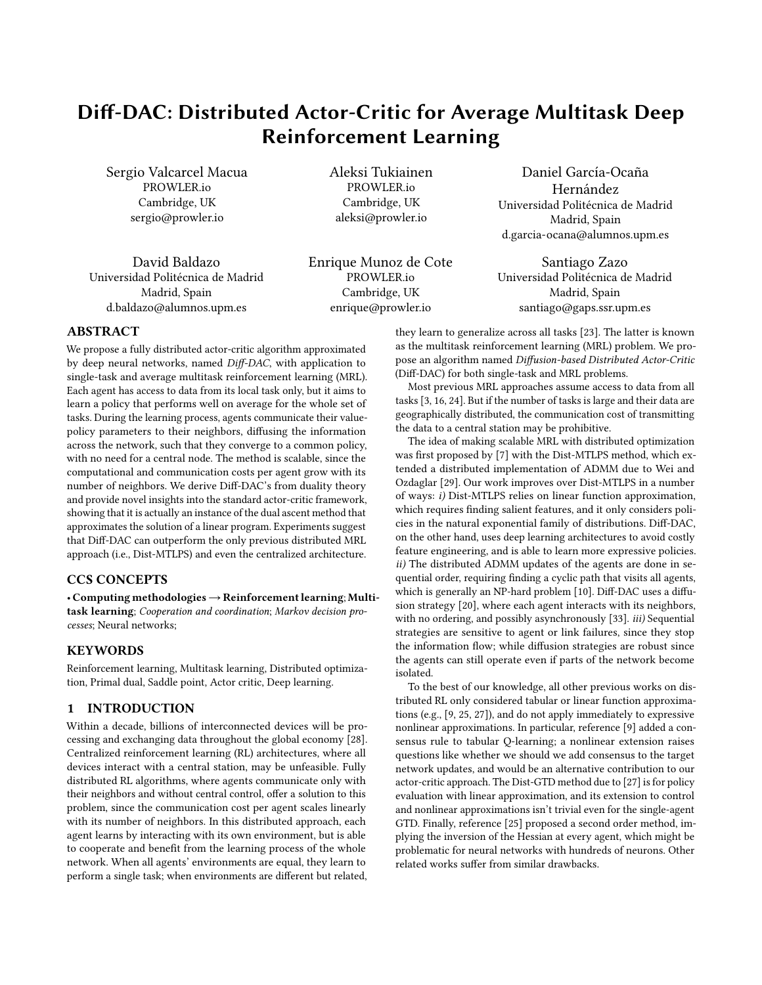# <span id="page-0-0"></span>Diff-DAC: Distributed Actor-Critic for Average Multitask Deep Reinforcement Learning

Sergio Valcarcel Macua PROWLER.io Cambridge, UK sergio@prowler.io

David Baldazo Universidad Politécnica de Madrid Madrid, Spain d.baldazo@alumnos.upm.es

Aleksi Tukiainen PROWLER.io Cambridge, UK aleksi@prowler.io

Enrique Munoz de Cote PROWLER.io Cambridge, UK enrique@prowler.io

Daniel García-Ocaña Hernández Universidad Politécnica de Madrid Madrid, Spain d.garcia-ocana@alumnos.upm.es

Santiago Zazo Universidad Politécnica de Madrid Madrid, Spain santiago@gaps.ssr.upm.es

# ABSTRACT

We propose a fully distributed actor-critic algorithm approximated by deep neural networks, named Diff-DAC, with application to single-task and average multitask reinforcement learning (MRL). Each agent has access to data from its local task only, but it aims to learn a policy that performs well on average for the whole set of tasks. During the learning process, agents communicate their valuepolicy parameters to their neighbors, diffusing the information across the network, such that they converge to a common policy, with no need for a central node. The method is scalable, since the computational and communication costs per agent grow with its number of neighbors. We derive Diff-DAC's from duality theory and provide novel insights into the standard actor-critic framework, showing that it is actually an instance of the dual ascent method that approximates the solution of a linear program. Experiments suggest that Diff-DAC can outperform the only previous distributed MRL approach (i.e., Dist-MTLPS) and even the centralized architecture.

## CCS CONCEPTS

• Computing methodologies→Reinforcement learning; Multitask learning; Cooperation and coordination; Markov decision processes; Neural networks;

# **KEYWORDS**

Reinforcement learning, Multitask learning, Distributed optimization, Primal dual, Saddle point, Actor critic, Deep learning.

## 1 INTRODUCTION

Within a decade, billions of interconnected devices will be processing and exchanging data throughout the global economy [\[28\]](#page-7-0). Centralized reinforcement learning (RL) architectures, where all devices interact with a central station, may be unfeasible. Fully distributed RL algorithms, where agents communicate only with their neighbors and without central control, offer a solution to this problem, since the communication cost per agent scales linearly with its number of neighbors. In this distributed approach, each agent learns by interacting with its own environment, but is able to cooperate and benefit from the learning process of the whole network. When all agents' environments are equal, they learn to perform a single task; when environments are different but related, they learn to generalize across all tasks [\[23\]](#page-7-1). The latter is known as the multitask reinforcement learning (MRL) problem. We propose an algorithm named Diffusion-based Distributed Actor-Critic (Diff-DAC) for both single-task and MRL problems.

Most previous MRL approaches assume access to data from all tasks [\[3,](#page-7-2) [16,](#page-7-3) [24\]](#page-7-4). But if the number of tasks is large and their data are geographically distributed, the communication cost of transmitting the data to a central station may be prohibitive.

The idea of making scalable MRL with distributed optimization was first proposed by [\[7\]](#page-7-5) with the Dist-MTLPS method, which extended a distributed implementation of ADMM due to [Wei and](#page-7-6) [Ozdaglar](#page-7-6) [\[29\]](#page-7-6). Our work improves over Dist-MTLPS in a number of ways: i) Dist-MTLPS relies on linear function approximation, which requires finding salient features, and it only considers policies in the natural exponential family of distributions. Diff-DAC, on the other hand, uses deep learning architectures to avoid costly feature engineering, and is able to learn more expressive policies. ii) The distributed ADMM updates of the agents are done in sequential order, requiring finding a cyclic path that visits all agents, which is generally an NP-hard problem [\[10\]](#page-7-7). Diff-DAC uses a diffusion strategy [\[20\]](#page-7-8), where each agent interacts with its neighbors, with no ordering, and possibly asynchronously [\[33\]](#page-7-9). *iii*) Sequential strategies are sensitive to agent or link failures, since they stop the information flow; while diffusion strategies are robust since the agents can still operate even if parts of the network become isolated.

To the best of our knowledge, all other previous works on distributed RL only considered tabular or linear function approximations (e.g., [\[9,](#page-7-10) [25,](#page-7-11) [27\]](#page-7-12)), and do not apply immediately to expressive nonlinear approximations. In particular, reference [\[9\]](#page-7-10) added a consensus rule to tabular Q-learning; a nonlinear extension raises questions like whether we should we add consensus to the target network updates, and would be an alternative contribution to our actor-critic approach. The Dist-GTD method due to [\[27\]](#page-7-12) is for policy evaluation with linear approximation, and its extension to control and nonlinear approximations isn't trivial even for the single-agent GTD. Finally, reference [\[25\]](#page-7-11) proposed a second order method, implying the inversion of the Hessian at every agent, which might be problematic for neural networks with hundreds of neurons. Other related works suffer from similar drawbacks.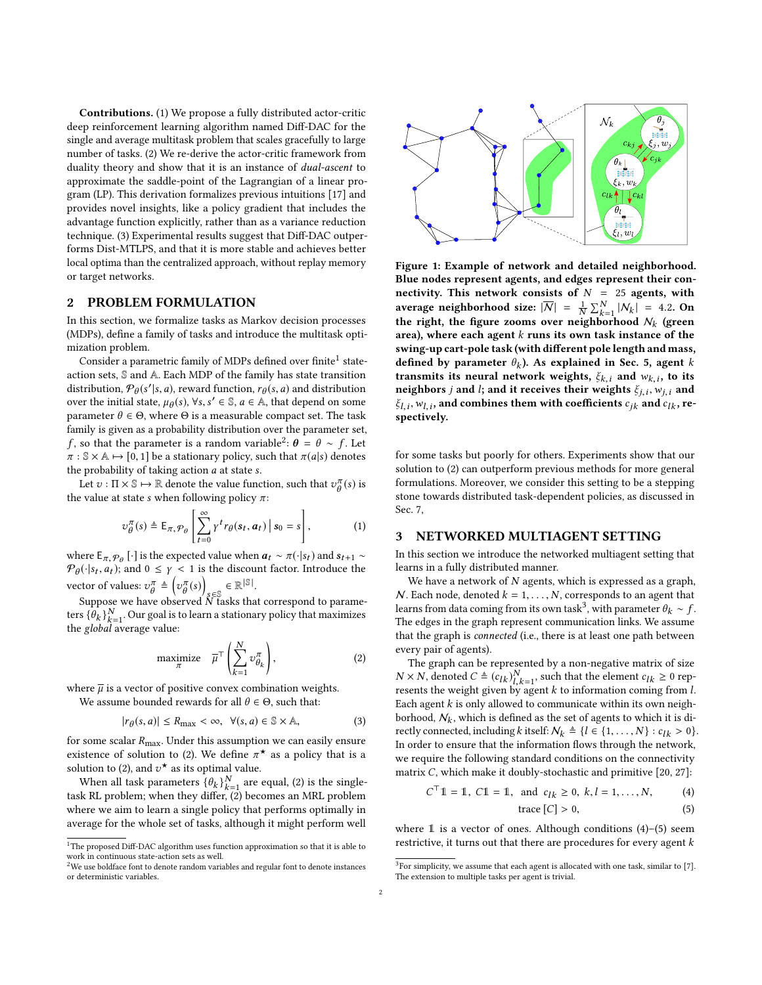Contributions. (1) We propose a fully distributed actor-critic deep reinforcement learning algorithm named Diff-DAC for the single and average multitask problem that scales gracefully to large number of tasks. (2) We re-derive the actor-critic framework from duality theory and show that it is an instance of dual-ascent to approximate the saddle-point of the Lagrangian of a linear program (LP). This derivation formalizes previous intuitions [\[17\]](#page-7-13) and provides novel insights, like a policy gradient that includes the advantage function explicitly, rather than as a variance reduction technique. (3) Experimental results suggest that Diff-DAC outperforms Dist-MTLPS, and that it is more stable and achieves better local optima than the centralized approach, without replay memory or target networks.

# 2 PROBLEM FORMULATION

In this section, we formalize tasks as Markov decision processes (MDPs), define a family of tasks and introduce the multitask optimization problem.

 $\overline{\text{Consider a parametric family of MDPs defined over finite}^1 \text{ state}}$  $\overline{\text{Consider a parametric family of MDPs defined over finite}^1 \text{ state}}$  $\overline{\text{Consider a parametric family of MDPs defined over finite}^1 \text{ state}}$ action sets, S and A. Each MDP of the family has state transition distribution,  $\mathcal{P}_{\theta}(s'|s, a)$ , reward function,  $r_{\theta}(s, a)$  and distribution<br>over the initial state  $u_{\theta}(s)$ .  $\forall s \leq s \leq a \in \mathbb{A}$ , that depend on some over the initial state,  $\mu_{\theta}(s)$ ,  $\forall s, s' \in \mathbb{S}$ ,  $a \in \mathbb{A}$ , that depend on some parameter  $\theta \in \Theta$ , where  $\Theta$  is a measurable connact set. The task parameter  $θ ∈ Θ$ , where  $Θ$  is a measurable compact set. The task family is given as a probability distribution over the parameter set, f, so that the parameter is a random variable<sup>[2](#page-0-0)</sup>:  $\theta = \theta \sim f$ . Let  $\pi : \mathbb{R} \times \mathbb{A} \mapsto [0, 1]$  be a stationary policy such that  $\pi(a|s)$  denotes  $\pi : \mathbb{S} \times \mathbb{A} \mapsto [0, 1]$  be a stationary policy, such that  $\pi(a|s)$  denotes the probability of taking action  $a$  at state  $s$ .

Let  $v : \Pi \times \mathbb{S} \mapsto \mathbb{R}$  denote the value function, such that  $v_{\theta}^{\pi}(s)$  is the value at state s when following policy  $\pi$ :

$$
\upsilon_{\theta}^{\pi}(s) \triangleq \mathsf{E}_{\pi, \mathcal{P}_{\theta}}\left[\sum_{t=0}^{\infty} \gamma^{t} r_{\theta}(s_{t}, a_{t}) \, \big| \, s_{0} = s\right],\tag{1}
$$

where  $E_{\pi, \mathcal{P}_{\theta}}[\cdot]$  is the expected value when  $a_t \sim \pi(\cdot|s_t)$  and  $s_{t+1} \sim \mathcal{P}_{\theta}(\cdot|\varepsilon, a_t)$ ; and  $0 \leq x \leq 1$  is the discount factor. Introduce the  $\mathcal{P}_{\theta}(\cdot|s_t, a_t)$ ; and  $0 \leq \gamma < 1$  is the discount factor. Introduce the vector of values:  $v_{\theta}^{\pi} \triangleq$ v  $\frac{\pi}{\theta}(s)$  $s \in \mathbb{R}^{|S|}$ .

Suppose we have observed  $\overline{\text{N}}$  tasks that correspond to parame-<br>s  $\overline{\text{S}}$   $\overline{\text{A}}$  .  $\overline{\text{N}}$  . Our goal is to learn a stationary policy that maximizes ters  $\{\hat{\theta}_k\}_{k=1}^N$ . Our goal is to learn a stationary policy that maximizes the *slobal* average value: the global average value:

$$
\text{maximize} \quad \overline{\mu}^{\top} \left( \sum_{k=1}^{N} \nu_{\theta_k}^{\pi} \right),\tag{2}
$$

where  $\overline{\mu}$  is a vector of positive convex combination weights.

We assume bounded rewards for all  $\theta \in \Theta$ , such that:

$$
|r_{\theta}(s, a)| \le R_{\text{max}} < \infty, \ \ \forall (s, a) \in \mathbb{S} \times \mathbb{A}, \tag{3}
$$

for some scalar  $R_{\text{max}}$ . Under this assumption we can easily ensure existence of solution to [\(2\)](#page-1-0). We define  $\pi^*$  as a policy that is a solution to (2) and  $\pi^*$  as its optimal value solution to  $(2)$ , and  $v$ <br>When all task pay solution to (2), and  $v^*$  as its optimal value.

When all task parameters  $\{\theta_k\}_{k=1}^N$  are equal, [\(2\)](#page-1-0) is the single-<br>k-PI, problem: when they differ (2) becomes an MPI, problem task RL problem; when they differ, [\(2\)](#page-1-0) becomes an MRL problem where we aim to learn a single policy that performs optimally in average for the whole set of tasks, although it might perform well



Figure 1: Example of network and detailed neighborhood. Blue nodes represent agents, and edges represent their connectivity. This network consists of  $N = 25$  agents, with average neighborhood size:  $|\overline{N}| = \frac{1}{N}$  $\frac{1}{N} \sum_{k=1}^{N} |N_k| = 4.2$ . On the right, the figure zooms over neighborhood  $\mathcal{N}_k$  (green area), where each agent  $k$  runs its own task instance of the swing-up cart-pole task (with different pole length and mass, defined by parameter  $\theta_k$ ). As explained in Sec. [5,](#page-3-0) agent k<br>transmits its neural network weights  $\xi_k$ , and  $\psi_k$ , to its transmits its neural network weights,  $\xi_{k,i}$  and  $w_{k,i}$ , to its<br>neighbors *i* and *l*: and it receives their weights  $\xi_{k,i}$  we cand neighbors *j* and *l*; and it receives their weights  $\xi_{j,i}, w_{j,i}$  and<br> $\xi_{k,i}, w_{k,i}$  and combines them with coefficients  $\varepsilon_{k,i}$  and  $\varepsilon_{k,i}$  reζ*l*,*i*, w<sub>l, *i*</sub>, ar<br>spectively.  $\xi_{l,i}, w_{l,i}$ , and combines them with coefficients  $c_{ik}$  and  $c_{lk}$ , re-

for some tasks but poorly for others. Experiments show that our solution to [\(2\)](#page-1-0) can outperform previous methods for more general formulations. Moreover, we consider this setting to be a stepping stone towards distributed task-dependent policies, as discussed in Sec. [7,](#page-6-0)

## 3 NETWORKED MULTIAGENT SETTING

In this section we introduce the networked multiagent setting that learns in a fully distributed manner.

We have a network of  $N$  agents, which is expressed as a graph,  $N$ . Each node, denoted  $k = 1, ..., N$ , corresponds to an agent that learns from data coming from its own task<sup>[3](#page-0-0)</sup>, with parameter  $\theta_k \sim f$ .<br>The edges in the graph represent communication links. We assume The edges in the graph represent communication links. We assume that the graph is connected (i.e., there is at least one path between every pair of agents).

<span id="page-1-0"></span>The graph can be represented by a non-negative matrix of size  $N \times N$ , denoted  $C \triangleq (c_{lk})_{l,k=1}^N$ , such that the element  $c_{lk} \ge 0$  represents the weight given by agent k to information coming from l.  $N \times N$ , denoted  $C = (c_{lk})_{l,k=1}^T$ , such that the element  $c_{lk} \ge 0$  represents the weight given by agent k to information coming from l.<br>Fach agent k is only allowed to communicate within its own neigh-Each agent  $k$  is only allowed to communicate within its own neighborhood,  $N_k$ , which is defined as the set of agents to which it is directly connected, including k itself:  $\mathcal{N}_k \triangleq \{l \in \{1, ..., N\} : c_{lk} > 0\}.$ In order to ensure that the information flows through the network, we require the following standard conditions on the connectivity matrix C, which make it doubly-stochastic and primitive [\[20,](#page-7-8) [27\]](#page-7-12):

$$
C^{\top}1\!\!1 = 1
$$
,  $C1\!\!1 = 1$ , and  $c_{lk} \geq 0$ ,  $k, l = 1, ..., N$ , (4)

<span id="page-1-2"></span><span id="page-1-1"></span>
$$
trace [C] > 0,
$$
 (5)

where 1 is a vector of ones. Although conditions  $(4)$ – $(5)$  seem restrictive, it turns out that there are procedures for every agent k

 $^{\rm 1}{\rm The}$  proposed Diff-DAC algorithm uses function approximation so that it is able to work in continuous state-action sets as well.

<sup>&</sup>lt;sup>2</sup>We use boldface font to denote random variables and regular font to denote instances or deterministic variables.

 $3$  For simplicity, we assume that each agent is allocated with one task, similar to [\[7\]](#page-7-5). The extension to multiple tasks per agent is trivial.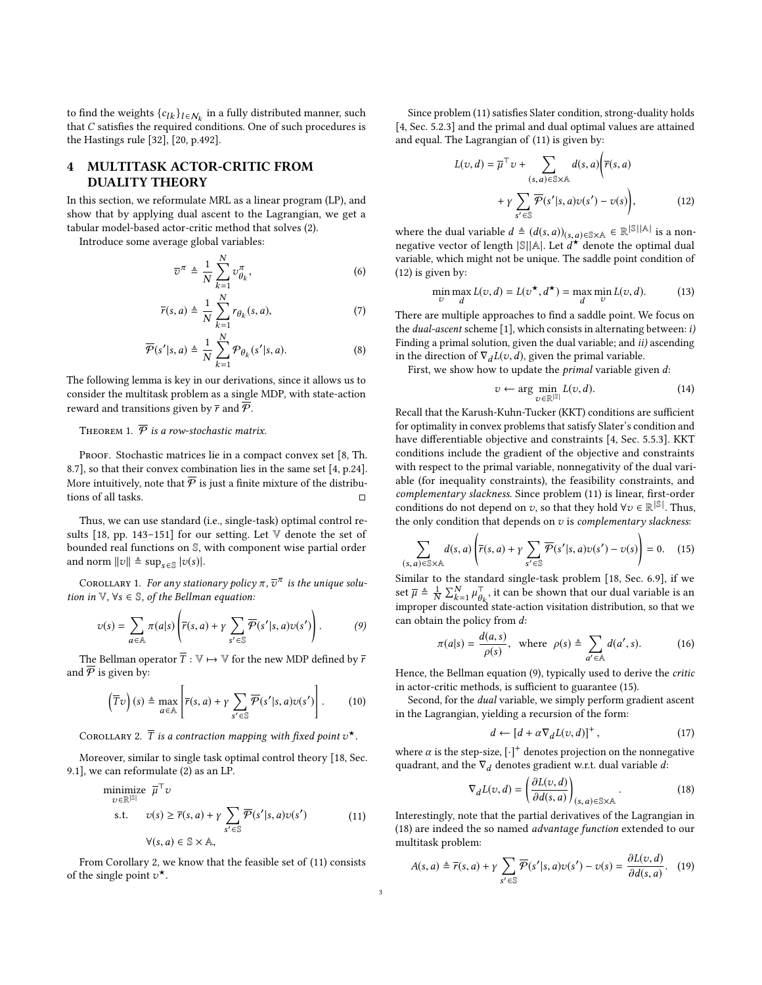to find the weights  $\{c_{lk}\}_{l \in \mathcal{N}_k}$  in a fully distributed manner, such that C satisfies the required conditions. One of such procedures is that C satisfies the required conditions. One of such procedures is the Hastings rule [\[32\]](#page-7-14), [\[20,](#page-7-8) p.492].

# 4 MULTITASK ACTOR-CRITIC FROM DUALITY THEORY

In this section, we reformulate MRL as a linear program (LP), and show that by applying dual ascent to the Lagrangian, we get a tabular model-based actor-critic method that solves [\(2\)](#page-1-0).

Introduce some average global variables:

$$
\overline{v}^{\pi} \triangleq \frac{1}{N} \sum_{k=1}^{N} v_{\theta_k}^{\pi},
$$
\n(6)\n  
\n
$$
\overline{v}(\mathbf{s}, a) \triangleq \frac{1}{N} \sum_{k=1}^{N} r_{\theta_k}(\mathbf{s}, a)
$$
\n(7)

$$
\overline{r}(s, a) \triangleq \frac{1}{N} \sum_{k=1}^{N} r_{\theta_k}(s, a),
$$
\n(7)  
\n
$$
\overline{\mathcal{P}}(s'|s, a) \triangleq \frac{1}{N} \sum_{k=1}^{N} \mathcal{P}_{\theta_k}(s'|s, a).
$$
\n(8)

The following lemma is key in our derivations, since it allows us to consider the multitask problem as a single MDP, with state-action reward and transitions given by  $\bar{r}$  and  $\bar{\mathcal{P}}$ .

 $\overline{k=1}$ 

THEOREM 1.  $\overline{\mathcal{P}}$  is a row-stochastic matrix.

PROOF. Stochastic matrices lie in a compact convex set [\[8,](#page-7-15) Th. 8.7], so that their convex combination lies in the same set [\[4,](#page-7-16) p.24]. More intuitively, note that  $\overline{\varphi}$  is just a finite mixture of the distributions of all tasks. □

Thus, we can use standard (i.e., single-task) optimal control results [\[18,](#page-7-17) pp. 143–151] for our setting. Let V denote the set of bounded real functions on S, with component wise partial order and norm  $||v|| \triangleq \sup_{s \in \mathbb{S}} |v(s)|$ .

COROLLARY 1. For any stationary policy  $\pi$ ,  $\overline{v}^{\pi}$  is the unique solu-<br>n in  $\mathbb{V}$ ,  $\forall s \in \mathbb{S}$ , of the Bellman equation: tion in  $\mathbb{V}$ ,  $\forall s \in \mathbb{S}$ , of the Bellman equation:

$$
\upsilon(s) = \sum_{a \in \mathbb{A}} \pi(a|s) \left( \overline{r}(s, a) + \gamma \sum_{s' \in \mathbb{S}} \overline{\mathcal{P}}(s'|s, a) \upsilon(s') \right). \tag{9}
$$

The Bellman operator  $\overline{T}$  :  $\mathbb{V} \mapsto \mathbb{V}$  for the new MDP defined by  $\overline{r}$ and  $\overline{\varphi}$  is given by:

$$
\left(\overline{T}\upsilon\right)(s) \triangleq \max_{a \in \mathbb{A}} \left[\overline{r}(s,a) + \gamma \sum_{s' \in \mathbb{S}} \overline{\mathcal{P}}(s'|s,a)\upsilon(s')\right].\tag{10}
$$

<span id="page-2-0"></span>COROLLARY 2.  $\overline{T}$  is a contraction mapping with fixed point  $v^{\star}$ .

Moreover, similar to single task optimal control theory [\[18,](#page-7-17) Sec. 9.1], we can reformulate [\(2\)](#page-1-0) as an LP.

minimize 
$$
\overline{\mu}^{\top} v
$$
  
\ns.t.  $v(s) \ge \overline{r}(s, a) + \gamma \sum_{s' \in \mathbb{S}} \overline{\mathcal{P}}(s'|s, a)v(s')$  (11)  
\n $\forall (s, a) \in \mathbb{S} \times \mathbb{A},$ 

From Corollary [2,](#page-2-0) we know that the feasible set of [\(11\)](#page-2-1) consists of the single point  $v^*$ .

Since problem [\(11\)](#page-2-1) satisfies Slater condition, strong-duality holds [\[4,](#page-7-16) Sec. 5.2.3] and the primal and dual optimal values are attained and equal. The Lagrangian of [\(11\)](#page-2-1) is given by:

<span id="page-2-2"></span>
$$
L(v,d) = \overline{\mu}^{\top} v + \sum_{(s,a) \in \mathbb{S} \times \mathbb{A}} d(s,a) \left( \overline{r}(s,a) + \gamma \sum_{s' \in \mathbb{S}} \overline{\mathcal{P}}(s'|s,a) v(s') - v(s) \right),
$$
 (12)

where the dual variable  $d \triangleq (d(s, a))_{(s, a) \in \mathbb{S} \times \mathbb{A}} \in \mathbb{R}^{\mathbb{S} \times \mathbb{A} \times \mathbb{B}}$  is a non-<br>negative vector of length  $\mathbb{S} \cup \mathbb{A} \cup \mathbb{A}$  denote the optimal dual negative vector of length  $|\mathcal{S}||A|$ . Let  $\frac{d^*}{d}$  denote the optimal dual variable, which might not be unique. The saddle point condition of [\(12\)](#page-2-2) is given by:

$$
\min_{v} \max_{d} L(v, d) = L(v^{\star}, d^{\star}) = \max_{d} \min_{v} L(v, d). \tag{13}
$$

There are multiple approaches to find a saddle point. We focus on the *dual-ascent* scheme [\[1\]](#page-7-18), which consists in alternating between: i) Finding a primal solution, given the dual variable; and *ii*) ascending in the direction of  $\nabla_d L(v, d)$ , given the primal variable.

First, we show how to update the *primal* variable given  $d$ :

<span id="page-2-8"></span><span id="page-2-4"></span>
$$
v \leftarrow \arg\min_{v \in \mathbb{R}^{|\mathbb{S}|}} L(v, d). \tag{14}
$$

Recall that the Karush-Kuhn-Tucker (KKT) conditions are sufficient for optimality in convex problems that satisfy Slater's condition and have differentiable objective and constraints [\[4,](#page-7-16) Sec. 5.5.3]. KKT conditions include the gradient of the objective and constraints with respect to the primal variable, nonnegativity of the dual variable (for inequality constraints), the feasibility constraints, and complementary slackness. Since problem [\(11\)](#page-2-1) is linear, first-order conditions do not depend on v, so that they hold  $\forall v \in \mathbb{R}^{|S|}$ . Thus, the only condition that depends on v is complementary slackness. the only condition that depends on  $v$  is complementary slackness:

$$
\sum_{(s,a)\in\mathbb{S}\times\mathbb{A}} d(s,a) \left( \overline{r}(s,a) + \gamma \sum_{s'\in\mathbb{S}} \overline{\mathcal{P}}(s'|s,a) \nu(s') - \nu(s) \right) = 0. \quad (15)
$$
  
Similar to the standard single-task problem [18. Sec. 6.9]. if we

<span id="page-2-3"></span>set  $\overline{\mu} \triangleq \frac{1}{N}$  $\frac{1}{N} \sum_{k=1}^{N} \mu_{\theta_k}^{\top}$ , it can be shown that our dual variable is an  $\sum_{k=1}^{N} \frac{Z_{k=1}}{P_{k}}$  improper discounted state-action visitation distribution, so that we can obtain the policy from d:

$$
\pi(a|s) = \frac{d(a,s)}{\rho(s)}, \text{ where } \rho(s) \triangleq \sum_{a' \in \mathbb{A}} d(a',s). \tag{16}
$$

Hence, the Bellman equation [\(9\)](#page-2-3), typically used to derive the critic in actor-critic methods, is sufficient to guarantee [\(15\)](#page-2-4).

Second, for the dual variable, we simply perform gradient ascent in the Lagrangian, yielding a recursion of the form:

<span id="page-2-9"></span><span id="page-2-7"></span><span id="page-2-6"></span><span id="page-2-5"></span>
$$
d \leftarrow [d + \alpha \nabla_d L(v, d)]^+, \tag{17}
$$

where  $\alpha$  is the step-size,  $[\cdot]^+$  denotes projection on the nonnegative<br>quadrant and the  $\nabla \cdot$  denotes gradient with dual variable d. quadrant, and the  $\nabla_d$  denotes gradient w.r.t. dual variable d:

$$
\nabla_d L(v, d) = \left(\frac{\partial L(v, d)}{\partial d(s, a)}\right)_{(s, a) \in \mathbb{S} \times \mathbb{A}}.
$$
\nInterestingly, note that the partial derivatives of the Lagrangian in

<span id="page-2-1"></span>[\(18\)](#page-2-5) are indeed the so named advantage function extended to our multitask problem:

$$
A(s, a) \triangleq \overline{r}(s, a) + \gamma \sum_{s' \in \mathbb{S}} \overline{\mathcal{P}}(s'|s, a) \upsilon(s') - \upsilon(s) = \frac{\partial L(\upsilon, d)}{\partial d(s, a)}.
$$
 (19)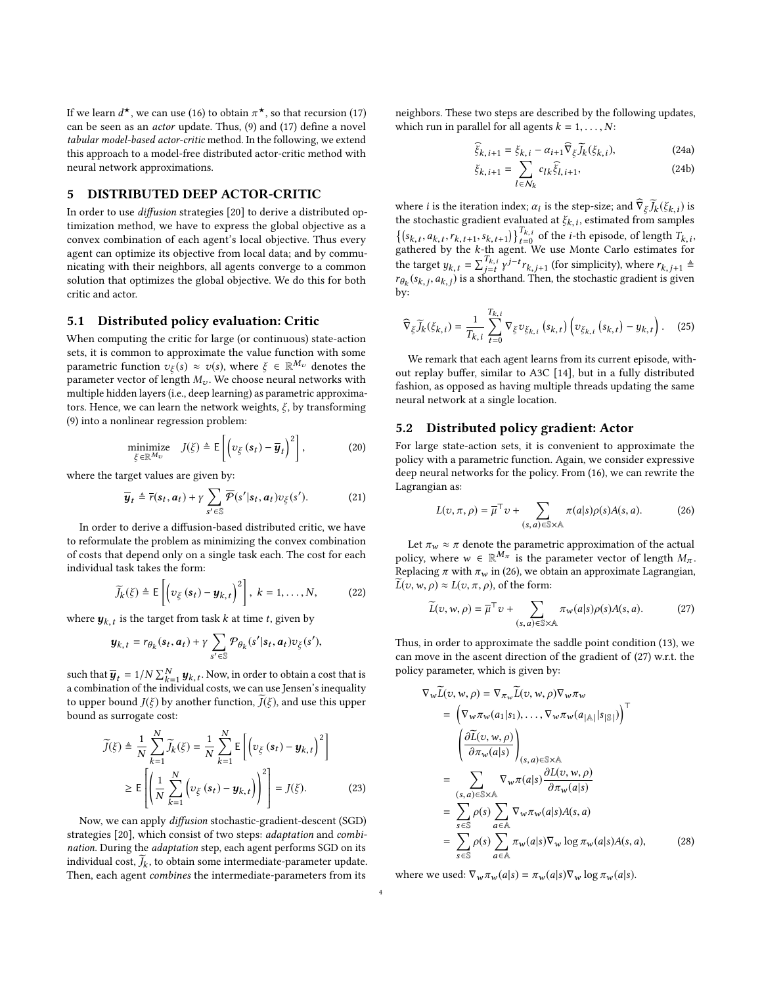If we learn  $d^{\star}$ , we can use [\(16\)](#page-2-6) to obtain  $\pi^{\star}$ , so that recursion [\(17\)](#page-2-7)<br>can be seen as an *actor* undate. Thus (9) and (17) define a novel can be seen as an actor update. Thus, [\(9\)](#page-2-3) and [\(17\)](#page-2-7) define a novel tabular model-based actor-critic method. In the following, we extend this approach to a model-free distributed actor-critic method with neural network approximations.

# <span id="page-3-0"></span>5 DISTRIBUTED DEEP ACTOR-CRITIC

In order to use diffusion strategies [\[20\]](#page-7-8) to derive a distributed optimization method, we have to express the global objective as a convex combination of each agent's local objective. Thus every agent can optimize its objective from local data; and by communicating with their neighbors, all agents converge to a common solution that optimizes the global objective. We do this for both critic and actor.

## 5.1 Distributed policy evaluation: Critic

When computing the critic for large (or continuous) state-action sets, it is common to approximate the value function with some parametric function  $v_{\xi}(s) \approx v(s)$ , where  $\xi \in \mathbb{R}^{M_{\nu}}$  denotes the parameter vector of length M. We choose neural networks with parameter vector of length  $M_v$ . We choose neural networks with multiple hidden layers (i.e., deep learning) as parametric approximators. Hence, we can learn the network weights,  $\xi$ , by transforming [\(9\)](#page-2-3) into a nonlinear regression problem:

$$
\underset{\xi \in \mathbb{R}^{M_{\upsilon}}}{\text{minimize}} \quad J(\xi) \triangleq \mathsf{E}\left[\left(\upsilon_{\xi}\left(s_{t}\right)-\overline{\boldsymbol{y}}_{t}\right)^{2}\right],\tag{20}
$$

where the target values are given by:

$$
\overline{\boldsymbol{y}}_t \triangleq \overline{r}(\boldsymbol{s}_t, \boldsymbol{a}_t) + \gamma \sum_{s' \in \mathbb{S}} \overline{\mathcal{P}}(s' | \boldsymbol{s}_t, \boldsymbol{a}_t) v_{\xi}(s'). \tag{21}
$$

In order to derive a diffusion-based distributed critic, we have to reformulate the problem as minimizing the convex combination of costs that depend only on a single task each. The cost for each individual task takes the form:

$$
\widetilde{J}_k(\xi) \triangleq \mathsf{E}\left[\left(v_{\xi}\left(\boldsymbol{s}_t\right)-\boldsymbol{y}_{k,\,t}\right)^2\right],\ k=1,\ldots,N,\tag{22}
$$

where  $\mathbf{y}_{k,t}$  is the target from task k at time t, given by

$$
\boldsymbol{y}_{k,t} = r_{\theta_k}(\boldsymbol{s}_t, \boldsymbol{a}_t) + \gamma \sum_{s' \in \mathcal{S}} \mathcal{P}_{\theta_k}(s'| \boldsymbol{s}_t, \boldsymbol{a}_t) v_{\xi}(s'),
$$

such that  $\overline{y}_t = 1/N \sum_{k=1}^{N} y_{k,t}$ . Now, in order to obtain a cost that is a combination of the individual costs, we can use Jensen's inequality to upper bound  $J(\xi)$  by another function,  $J(\xi)$ , and use this upper bound as surrogate cost:

$$
\widetilde{J}(\xi) \triangleq \frac{1}{N} \sum_{k=1}^{N} \widetilde{J}_k(\xi) = \frac{1}{N} \sum_{k=1}^{N} \mathsf{E}\left[ \left( v_{\xi} \left( \mathbf{s}_t \right) - \mathbf{y}_{k,t} \right)^2 \right]
$$
\n
$$
\geq \mathsf{E}\left[ \left( \frac{1}{N} \sum_{k=1}^{N} \left( v_{\xi} \left( \mathbf{s}_t \right) - \mathbf{y}_{k,t} \right) \right)^2 \right] = J(\xi). \tag{23}
$$

 Now, we can apply diffusion stochastic-gradient-descent (SGD) strategies [\[20\]](#page-7-8), which consist of two steps: adaptation and combination. During the adaptation step, each agent performs SGD on its individual cost,  $\widetilde{J}_k$ , to obtain some intermediate-parameter update.<br>Then, each agent combines the intermediate-parameters from its Then, each agent combines the intermediate-parameters from its

neighbors. These two steps are described by the following updates, which run in parallel for all agents  $k = 1, \ldots, N$ :

$$
\widehat{\xi}_{k,i+1} = \xi_{k,i} - \alpha_{i+1} \widehat{\nabla}_{\xi} \widetilde{J}_k(\xi_{k,i}),
$$
\n(24a)

<span id="page-3-4"></span>
$$
\xi_{k,i+1} = \sum_{l \in \mathcal{N}_k} c_{lk} \hat{\xi}_{l,i+1},\tag{24b}
$$

where *i* is the iteration index;  $\alpha_i$  is the step-size; and  $\hat{\nabla}_{\xi} \tilde{J}_k(\xi_k, i)$  is the stochastic gradient evaluated at  $\tilde{\kappa}_k$ , estimated from samples the stochastic gradient evaluated at  $\xi_{k,i}$ , estimated from samples<br>  $\left\{ (s_{k,t}, a_{k,t}, r_{k,t+1}, s_{k,t+1}) \right\}_{t=0}^{T_{k,i}}$  of the *i*-th episode, of length  $T_{k,i}$ ,<br>
gathered by the *k*-th agent. We use Monte Carlo estimates fo the stochastic gradient evaluated at  $\xi_{k,i}$ , estimated from samples gathered by the k-th agent. We use Monte Carlo estimates for<br>the terms  $u_n = \sum_{k=1}^{T_{k,i}} u^{j-t_n}$  (for simplicity) where  $\mathbf{r}$ the target  $y_{k,t} = \sum_{j=t}^{T_{k,t}} \gamma$  $j-t$ <sup>r</sup> $r$ <sub>k,j+1</sub> (for simplicity), where  $r$ <sub>k,j+1</sub> ≜  $r_{\theta_k}(s_{k,j}, a_{k,j})$  is a shorthand. Then, the stochastic gradient is given<br>by: by:

$$
\widehat{\nabla}_{\xi}\widetilde{J}_{k}(\xi_{k,i}) = \frac{1}{T_{k,i}}\sum_{t=0}^{T_{k,i}}\nabla_{\xi}v_{\xi_{k,i}}(s_{k,t})\left(v_{\xi_{k,i}}(s_{k,t})-y_{k,t}\right). \quad (25)
$$

We remark that each agent learns from its current episode, without replay buffer, similar to A3C [\[14\]](#page-7-19), but in a fully distributed fashion, as opposed as having multiple threads updating the same neural network at a single location.

### 5.2 Distributed policy gradient: Actor

For large state-action sets, it is convenient to approximate the policy with a parametric function. Again, we consider expressive deep neural networks for the policy. From [\(16\)](#page-2-6), we can rewrite the Lagrangian as:

<span id="page-3-1"></span>
$$
L(v, \pi, \rho) = \overline{\mu}^{\top} v + \sum_{(s, a) \in \mathbb{S} \times \mathbb{A}} \pi(a|s) \rho(s) A(s, a).
$$
 (26)

Let  $\pi_w \approx \pi$  denote the parametric approximation of the actual policy, where  $w \in \mathbb{R}^{M_{\pi}}$  is the parameter vector of length  $M_{\pi}$ .<br>Penhasing  $\pi$  with  $\pi$  in (26) we obtain an approximate Lagrangian Replacing  $\pi$  with  $\pi_w$  in [\(26\)](#page-3-1), we obtain an approximate Lagrangian,  $\widetilde{L}(v,w,\rho) \approx L(v,\pi,\rho)$ , of the form:

<span id="page-3-2"></span>
$$
\widetilde{L}(v, w, \rho) = \overline{\mu}^{\top} v + \sum_{(s, a) \in \mathbb{S} \times \mathbb{A}} \pi_w(a|s) \rho(s) A(s, a).
$$
 (27)

Thus, in order to approximate the saddle point condition [\(13\)](#page-2-8), we can move in the ascent direction of the gradient of [\(27\)](#page-3-2) w.r.t. the policy parameter, which is given by:

$$
\nabla_{w}L(v, w, \rho) = \nabla_{\pi_{w}}L(v, w, \rho)\nabla_{w}\pi_{w}
$$
\n
$$
= \left(\nabla_{w}\pi_{w}(a_{1}|s_{1}), \ldots, \nabla_{w}\pi_{w}(a_{|\mathbb{A}|}|s_{|\mathbb{S}|})\right)^{\top}
$$
\n
$$
\left(\frac{\partial \widetilde{L}(v, w, \rho)}{\partial \pi_{w}(a|s)}\right)_{(s, a) \in \mathbb{S} \times \mathbb{A}} \qquad \qquad \left. \frac{\partial L(v, w, \rho)}{\partial \pi_{w}(a|s)}\right)_{(s, a) \in \mathbb{S} \times \mathbb{A}} \qquad \qquad \left. \frac{\partial L(v, w, \rho)}{\partial \pi_{w}(a|s)}\right|
$$
\n
$$
= \sum_{s \in \mathbb{S}} \rho(s) \sum_{a \in \mathbb{A}} \nabla_{w}\pi_{w}(a|s) A(s, a)
$$
\n
$$
= \sum_{s \in \mathbb{S}} \rho(s) \sum_{a \in \mathbb{A}} \pi_{w}(a|s) \nabla_{w} \log \pi_{w}(a|s) A(s, a), \qquad (28)
$$

<span id="page-3-3"></span>where we used:  $\nabla_w \pi_w(a|s) = \pi_w(a|s) \nabla_w \log \pi_w(a|s)$ .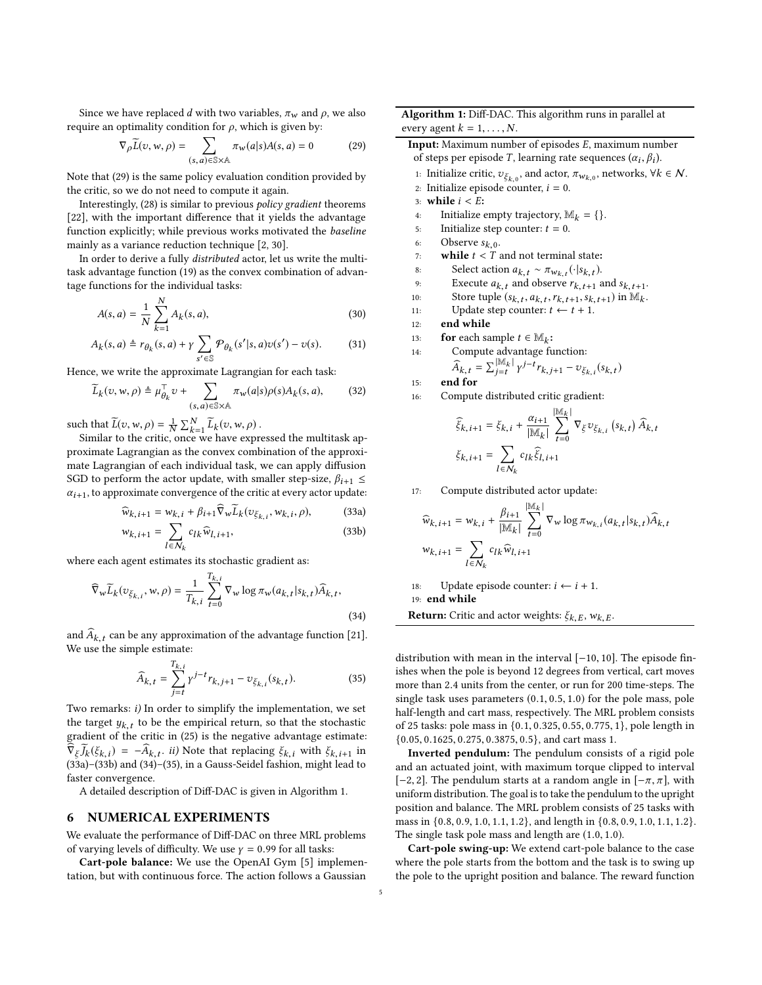Since we have replaced d with two variables,  $\pi_w$  and  $\rho$ , we also require an optimality condition for  $ρ$ , which is given by:

$$
\nabla_{\rho}\widetilde{L}(v, w, \rho) = \sum_{(s, a) \in \mathbb{S} \times \mathbb{A}} \pi_w(a|s)A(s, a) = 0
$$
 (29)

Note that [\(29\)](#page-4-0) is the same policy evaluation condition provided by the critic, so we do not need to compute it again.

Interestingly, [\(28\)](#page-3-3) is similar to previous policy gradient theorems [\[22\]](#page-7-20), with the important difference that it yields the advantage function explicitly; while previous works motivated the baseline mainly as a variance reduction technique [\[2,](#page-7-21) [30\]](#page-7-22).

In order to derive a fully distributed actor, let us write the multitask advantage function [\(19\)](#page-2-9) as the convex combination of advantage functions for the individual tasks:

$$
A(s,a) = \frac{1}{N} \sum_{k=1}^{N} A_k(s,a),
$$
\n(30)

$$
A_k(s, a) \triangleq r_{\theta_k}(s, a) + \gamma \sum_{s' \in \mathbb{S}} \mathcal{P}_{\theta_k}(s'|s, a) \upsilon(s') - \upsilon(s). \tag{31}
$$

Hence, we write the approximate Lagrangian for each task:

$$
\widetilde{L}_k(v, w, \rho) \triangleq \mu_{\theta_k}^{\top} v + \sum_{(s, a) \in \mathbb{S} \times \mathbb{A}} \pi_w(a|s) \rho(s) A_k(s, a), \tag{32}
$$

such that  $\widetilde{L}(v, w, \rho) = \frac{1}{N}$ <br>Similar to the critic  $\frac{1}{N} \sum_{k=1}^{N} \widetilde{L}_k(v, w, \rho)$ .

Similar to the critic, once we have expressed the multitask approximate Lagrangian as the convex combination of the approximate Lagrangian of each individual task, we can apply diffusion SGD to perform the actor update, with smaller step-size,  $\beta_{i+1} \leq$  $\alpha_{i+1}$ , to approximate convergence of the critic at every actor update:

$$
\widehat{w}_{k,i+1} = w_{k,i} + \beta_{i+1} \widehat{\nabla}_w \widetilde{L}_k(v_{\xi_{k,i}}, w_{k,i}, \rho), \tag{33a}
$$

$$
w_{k,i+1} = \sum_{l \in N_k} c_{lk} \widehat{w}_{l,i+1},\tag{33b}
$$

where each agent estimates its stochastic gradient as:

$$
\widehat{\nabla}_{w}\widetilde{L}_{k}(v_{\xi_{k,t}}, w, \rho) = \frac{1}{T_{k,t}} \sum_{t=0}^{T_{k,t}} \nabla_{w} \log \pi_{w}(a_{k,t}|s_{k,t}) \widehat{A}_{k,t},
$$
\n(34)

and  $\widehat{A}_{k,t}$  can be any approximation of the advantage function [\[21\]](#page-7-23).<br>We use the simple estimate: We use the simple estimate:

$$
\widehat{A}_{k,t} = \sum_{j=t}^{T_{k,i}} \gamma^{j-t} r_{k,j+1} - v_{\xi_{k,i}}(s_{k,t}).
$$
\n(35)

Two remarks: i) In order to simplify the implementation, we set the target  $y_{k,t}$  to be the empirical return, so that the stochastic gradient of the critic in (25) is the negative advantage estimate gradient of the critic in [\(25\)](#page-3-4) is the negative advantage estimate:  $\widehat{\nabla}_{\xi} \widetilde{J}_k(\xi_{k,i}) = -\widehat{A}_{k,t}.$  ii) Note that replacing  $\xi_{k,i}$  with  $\xi_{k,i+1}$  in (33a)-(33b) and (34)-(35) in a Gauss-Seidel fashion might lead to  $v_{\xi}J_k(s_{k,i}) = -A_{k,i}.$  *u*) note that replacing  $s_{k,i}$  with  $s_{k,i+1}$  in [\(33a\)](#page-4-1)–[\(33b\)](#page-4-2) and [\(34\)](#page-4-3)–[\(35\)](#page-4-4), in a Gauss-Seidel fashion, might lead to faster convergence.

A detailed description of Diff-DAC is given in Algorithm [1.](#page-4-5)

## 6 NUMERICAL EXPERIMENTS

We evaluate the performance of Diff-DAC on three MRL problems of varying levels of difficulty. We use  $\gamma = 0.99$  for all tasks:

Cart-pole balance: We use the OpenAI Gym [\[5\]](#page-7-24) implementation, but with continuous force. The action follows a Gaussian

<span id="page-4-0"></span>Algorithm 1: Diff-DAC. This algorithm runs in parallel at every agent  $k = 1, \ldots, N$ .

<span id="page-4-5"></span>Input: Maximum number of episodes E, maximum number of steps per episode T, learning rate sequences  $(\alpha_i, \beta_i)$ .

1: Initialize critic,  $v_{\xi_{k,0}}$ , and actor,  $\pi_{w_{k,0}}$ , networks,  $\forall k \in \mathcal{N}$ .<br>2. Initialize opisode counter  $i = 0$ .

- 2: Initialize episode counter,  $i = 0$ .
- 3: **while**  $i < E$ :<br>4: Initialize
- Initialize empty trajectory,  $\mathbb{M}_k = \{\}.$
- 5: Initialize step counter:  $t = 0$ .<br>6: Observe  $s_{k=0}$ .
- 6: Observe  $s_{k,0}$ .
- 7: **while**  $t < T$  and not terminal state:<br>8: Select action  $a_{k-t} \sim \pi_{w_{k-1}}(\cdot|s_{k-t})$ .
- 8: Select action  $a_{k,t} \sim \pi_{w_{k,t}}(\cdot|s_{k,t})$ .
- 9: Execute  $a_{k,t}$  and observe  $r_{k,t+1}$  and  $s_{k,t+1}$ .
- 10: Store tuple  $(s_{k,t}, a_{k,t}, r_{k,t+1}, s_{k,t+1})$  in  $\mathbb{M}_k$ .<br>
Indete step counter:  $t \leftarrow t+1$ .
- 11: Update step counter:  $t \leftarrow t + 1$ .<br>12: **end while**
- end while

 $15:$ 

13: **for** each sample  $t \in M_k$ :<br>14. Compute advantage fi

14: Compute advantage function:  
\n
$$
\widehat{A}_{1} = \sum_{i} \left| \frac{M_k}{v} \right| \frac{v}{v} + r_1 \dots = 7/r
$$

$$
\hat{A}_{k,t} = \sum_{j=t}^{|\mathbb{M}_k|} \gamma^{j-t} r_{k,j+1} - v_{\xi_{k,t}}(s_{k,t})
$$

16: Compute distributed critic gradient:

$$
\widehat{\xi}_{k,i+1} = \xi_{k,i} + \frac{\alpha_{i+1}}{|\mathbb{M}_k|} \sum_{t=0}^{|\mathbb{M}_k|} \nabla_{\xi} v_{\xi_{k,i}} (s_{k,t}) \widehat{A}_{k,t}
$$

$$
\xi_{k,i+1} = \sum_{l \in \mathcal{N}_k} c_{lk} \widehat{\xi}_{l,i+1}
$$

<span id="page-4-2"></span><span id="page-4-1"></span>17: Compute distributed actor update:

$$
\begin{aligned} \widehat{w}_{k,i+1} &= w_{k,i} + \frac{\beta_{i+1}}{|\mathbb{M}_k|} \sum_{t=0}^{|\mathbb{M}_k|} \nabla_{w} \log \pi_{w_{k,i}}(a_{k,t} | s_{k,t}) \widehat{A}_{k,t} \\ w_{k,i+1} &= \sum_{l \in \mathcal{N}_k} c_{lk} \widehat{w}_{l,i+1} \end{aligned}
$$

18: Update episode counter:  $i \leftarrow i + 1$ . 19: end while

<span id="page-4-3"></span>**Return:** Critic and actor weights:  $\xi_{k,E}$ ,  $w_{k,E}$ .

<span id="page-4-4"></span>distribution with mean in the interval [−10, <sup>10</sup>]. The episode finishes when the pole is beyond 12 degrees from vertical, cart moves more than <sup>2</sup>.<sup>4</sup> units from the center, or run for <sup>200</sup> time-steps. The single task uses parameters (0.1, <sup>0</sup>.5, <sup>1</sup>.0) for the pole mass, pole half-length and cart mass, respectively. The MRL problem consists of <sup>25</sup> tasks: pole mass in {0.1, <sup>0</sup>.325, <sup>0</sup>.55, <sup>0</sup>.775, <sup>1</sup>}, pole length in {0.05, <sup>0</sup>.1625, <sup>0</sup>.275, <sup>0</sup>.3875, <sup>0</sup>.5}, and cart mass 1.

Inverted pendulum: The pendulum consists of a rigid pole and an actuated joint, with maximum torque clipped to interval [−2, 2]. The pendulum starts at a random angle in [ $-\pi$ ,  $\pi$ ], with uniform distribution. The goal is to take the pendulum to the upright position and balance. The MRL problem consists of 25 tasks with mass in {0.8, <sup>0</sup>.9, <sup>1</sup>.0, <sup>1</sup>.1, <sup>1</sup>.2}, and length in {0.8, <sup>0</sup>.9, <sup>1</sup>.0, <sup>1</sup>.1, <sup>1</sup>.2}. The single task pole mass and length are (1.0, <sup>1</sup>.0).

Cart-pole swing-up: We extend cart-pole balance to the case where the pole starts from the bottom and the task is to swing up the pole to the upright position and balance. The reward function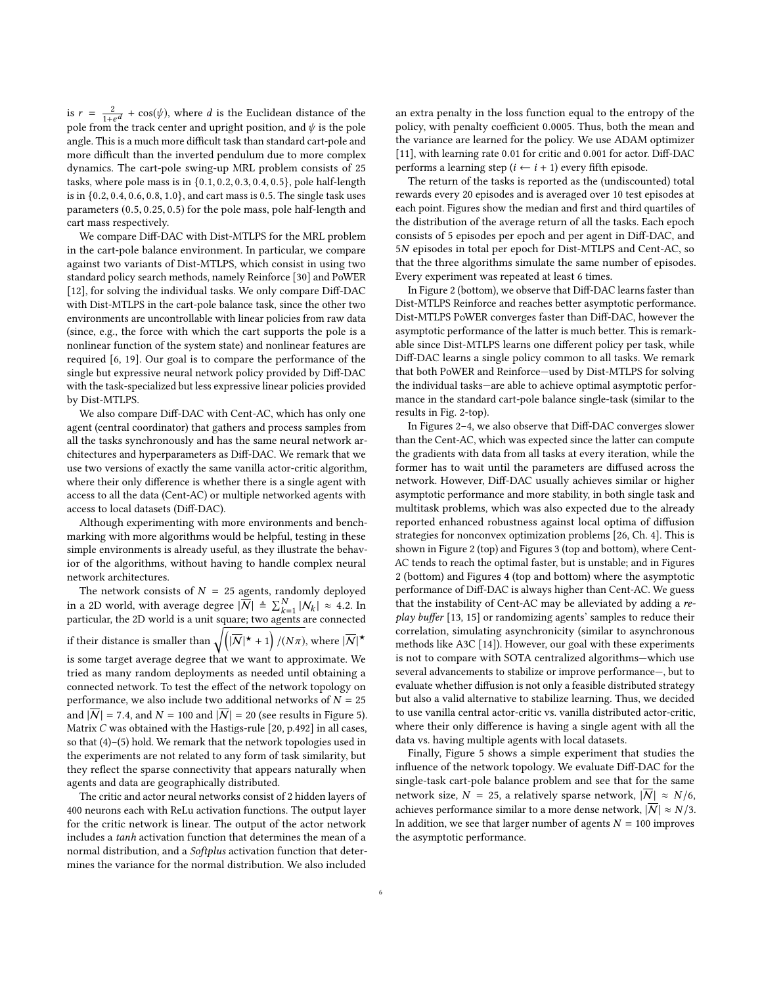is  $r = \frac{2}{1+e^d} + \cos(\psi)$ , where d is the Euclidean distance of the nole from the treats enter and unright position and this the nole pole from the track center and upright position, and  $\psi$  is the pole angle. This is a much more difficult task than standard cart-pole and more difficult than the inverted pendulum due to more complex dynamics. The cart-pole swing-up MRL problem consists of 25 tasks, where pole mass is in {0.1, <sup>0</sup>.2, <sup>0</sup>.3, <sup>0</sup>.4, <sup>0</sup>.5}, pole half-length is in {0.2, <sup>0</sup>.4, <sup>0</sup>.6, <sup>0</sup>.8, <sup>1</sup>.0}, and cart mass is <sup>0</sup>.5. The single task uses parameters (0.5, <sup>0</sup>.25, <sup>0</sup>.5) for the pole mass, pole half-length and cart mass respectively.

We compare Diff-DAC with Dist-MTLPS for the MRL problem in the cart-pole balance environment. In particular, we compare against two variants of Dist-MTLPS, which consist in using two standard policy search methods, namely Reinforce [\[30\]](#page-7-22) and PoWER [\[12\]](#page-7-25), for solving the individual tasks. We only compare Diff-DAC with Dist-MTLPS in the cart-pole balance task, since the other two environments are uncontrollable with linear policies from raw data (since, e.g., the force with which the cart supports the pole is a nonlinear function of the system state) and nonlinear features are required [\[6,](#page-7-26) [19\]](#page-7-27). Our goal is to compare the performance of the single but expressive neural network policy provided by Diff-DAC with the task-specialized but less expressive linear policies provided by Dist-MTLPS.

We also compare Diff-DAC with Cent-AC, which has only one agent (central coordinator) that gathers and process samples from all the tasks synchronously and has the same neural network architectures and hyperparameters as Diff-DAC. We remark that we use two versions of exactly the same vanilla actor-critic algorithm, where their only difference is whether there is a single agent with access to all the data (Cent-AC) or multiple networked agents with access to local datasets (Diff-DAC).

Although experimenting with more environments and benchmarking with more algorithms would be helpful, testing in these simple environments is already useful, as they illustrate the behavior of the algorithms, without having to handle complex neural network architectures.

The network consists of  $N = 25$  agents, randomly deployed in a 2D world, with average degree  $|\overline{\mathcal{N}}| \triangleq \sum_{k=1}^{N} |\mathcal{N}_k| \approx 4.2$ . In particular, the 2D world is a unit square; two agents are connected if their distance is smaller than  $\sqrt{\left(\vert \overline{\mathcal{N}} \vert^{\star} + 1\right)/(N\pi)}$ , where  $\vert \overline{\mathcal{N}} \vert^{\star}$ is some target average degree that we want to approximate. We tried as many random deployments as needed until obtaining a connected network. To test the effect of the network topology on performance, we also include two additional networks of  ${\cal N}=25$ and  $|\overline{N}| = 7.4$ , and  $N = 100$  and  $|\overline{N}| = 20$  (see results in Figure [5\)](#page-6-1). Matrix C was obtained with the Hastigs-rule [\[20,](#page-7-8) p.492] in all cases, so that [\(4\)](#page-1-1)–[\(5\)](#page-1-2) hold. We remark that the network topologies used in the experiments are not related to any form of task similarity, but they reflect the sparse connectivity that appears naturally when

The critic and actor neural networks consist of 2 hidden layers of 400 neurons each with ReLu activation functions. The output layer for the critic network is linear. The output of the actor network includes a tanh activation function that determines the mean of a normal distribution, and a *Softplus* activation function that determines the variance for the normal distribution. We also included

agents and data are geographically distributed.

an extra penalty in the loss function equal to the entropy of the policy, with penalty coefficient <sup>0</sup>.0005. Thus, both the mean and the variance are learned for the policy. We use ADAM optimizer [\[11\]](#page-7-28), with learning rate <sup>0</sup>.<sup>01</sup> for critic and <sup>0</sup>.<sup>001</sup> for actor. Diff-DAC performs a learning step  $(i \leftarrow i + 1)$  every fifth episode.

The return of the tasks is reported as the (undiscounted) total rewards every 20 episodes and is averaged over 10 test episodes at each point. Figures show the median and first and third quartiles of the distribution of the average return of all the tasks. Each epoch consists of 5 episodes per epoch and per agent in Diff-DAC, and <sup>5</sup>N episodes in total per epoch for Dist-MTLPS and Cent-AC, so that the three algorithms simulate the same number of episodes. Every experiment was repeated at least 6 times.

In Figure [2](#page-6-2) (bottom), we observe that Diff-DAC learns faster than Dist-MTLPS Reinforce and reaches better asymptotic performance. Dist-MTLPS PoWER converges faster than Diff-DAC, however the asymptotic performance of the latter is much better. This is remarkable since Dist-MTLPS learns one different policy per task, while Diff-DAC learns a single policy common to all tasks. We remark that both PoWER and Reinforce—used by Dist-MTLPS for solving the individual tasks—are able to achieve optimal asymptotic performance in the standard cart-pole balance single-task (similar to the results in Fig. [2-](#page-6-2)top).

In Figures [2](#page-6-2)[–4,](#page-6-3) we also observe that Diff-DAC converges slower than the Cent-AC, which was expected since the latter can compute the gradients with data from all tasks at every iteration, while the former has to wait until the parameters are diffused across the network. However, Diff-DAC usually achieves similar or higher asymptotic performance and more stability, in both single task and multitask problems, which was also expected due to the already reported enhanced robustness against local optima of diffusion strategies for nonconvex optimization problems [\[26,](#page-7-29) Ch. 4]. This is shown in Figure [2](#page-6-2) (top) and Figures [3](#page-6-4) (top and bottom), where Cent-AC tends to reach the optimal faster, but is unstable; and in Figures [2](#page-6-2) (bottom) and Figures [4](#page-6-3) (top and bottom) where the asymptotic performance of Diff-DAC is always higher than Cent-AC. We guess that the instability of Cent-AC may be alleviated by adding a replay buffer [\[13,](#page-7-30) [15\]](#page-7-31) or randomizing agents' samples to reduce their correlation, simulating asynchronicity (similar to asynchronous methods like A3C [\[14\]](#page-7-19)). However, our goal with these experiments is not to compare with SOTA centralized algorithms—which use several advancements to stabilize or improve performance—, but to evaluate whether diffusion is not only a feasible distributed strategy but also a valid alternative to stabilize learning. Thus, we decided to use vanilla central actor-critic vs. vanilla distributed actor-critic, where their only difference is having a single agent with all the data vs. having multiple agents with local datasets.

Finally, Figure [5](#page-6-1) shows a simple experiment that studies the influence of the network topology. We evaluate Diff-DAC for the single-task cart-pole balance problem and see that for the same network size,  $N = 25$ , a relatively sparse network,  $|\overline{N}| \approx N/6$ , achieves performance similar to a more dense network,  $|\overline{N}| \approx N/3$ . In addition, we see that larger number of agents  $N = 100$  improves the asymptotic performance.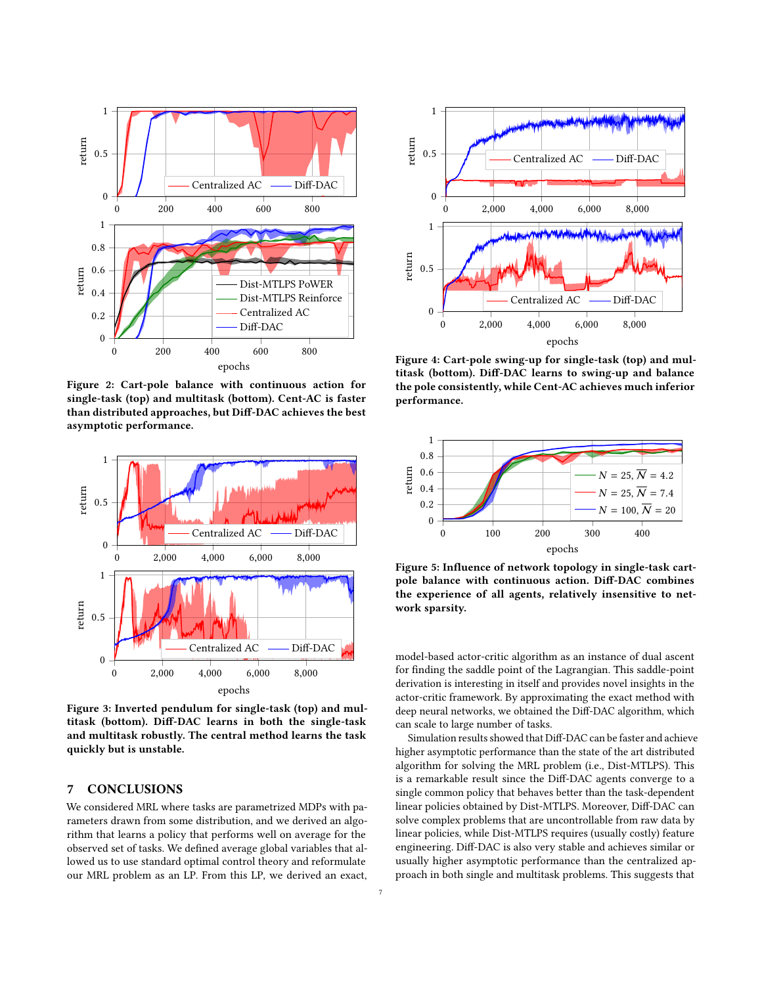<span id="page-6-2"></span>

Figure 2: Cart-pole balance with continuous action for single-task (top) and multitask (bottom). Cent-AC is faster than distributed approaches, but Diff-DAC achieves the best asymptotic performance.

<span id="page-6-4"></span>

Figure 3: Inverted pendulum for single-task (top) and multitask (bottom). Diff-DAC learns in both the single-task and multitask robustly. The central method learns the task quickly but is unstable.

# <span id="page-6-0"></span>7 CONCLUSIONS

We considered MRL where tasks are parametrized MDPs with parameters drawn from some distribution, and we derived an algorithm that learns a policy that performs well on average for the observed set of tasks. We defined average global variables that allowed us to use standard optimal control theory and reformulate our MRL problem as an LP. From this LP, we derived an exact,

<span id="page-6-3"></span>

Figure 4: Cart-pole swing-up for single-task (top) and multitask (bottom). Diff-DAC learns to swing-up and balance the pole consistently, while Cent-AC achieves much inferior performance.

<span id="page-6-1"></span>

Figure 5: Influence of network topology in single-task cartpole balance with continuous action. Diff-DAC combines the experience of all agents, relatively insensitive to network sparsity.

model-based actor-critic algorithm as an instance of dual ascent for finding the saddle point of the Lagrangian. This saddle-point derivation is interesting in itself and provides novel insights in the actor-critic framework. By approximating the exact method with deep neural networks, we obtained the Diff-DAC algorithm, which can scale to large number of tasks.

Simulation results showed that Diff-DAC can be faster and achieve higher asymptotic performance than the state of the art distributed algorithm for solving the MRL problem (i.e., Dist-MTLPS). This is a remarkable result since the Diff-DAC agents converge to a single common policy that behaves better than the task-dependent linear policies obtained by Dist-MTLPS. Moreover, Diff-DAC can solve complex problems that are uncontrollable from raw data by linear policies, while Dist-MTLPS requires (usually costly) feature engineering. Diff-DAC is also very stable and achieves similar or usually higher asymptotic performance than the centralized approach in both single and multitask problems. This suggests that